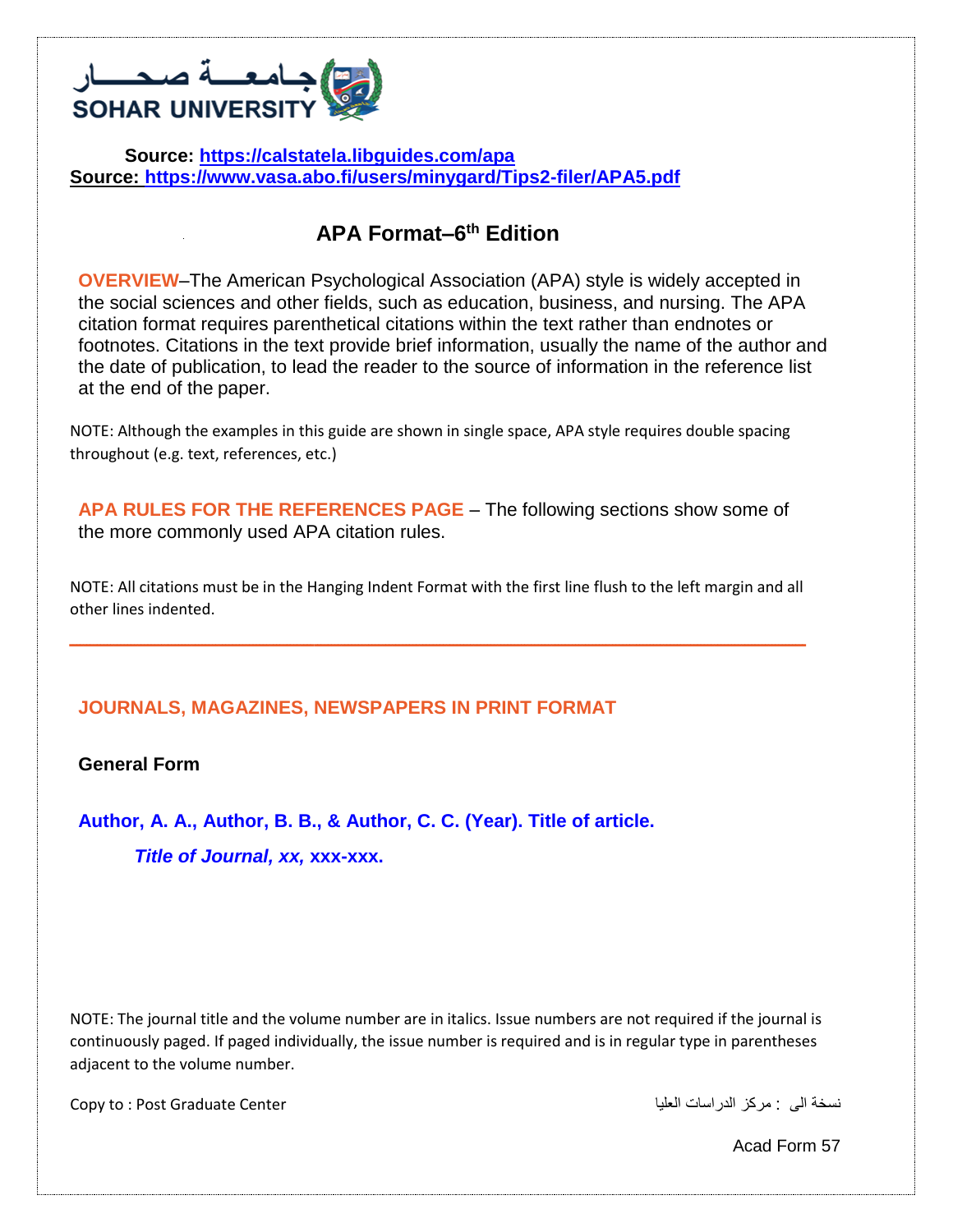

**Source:<https://calstatela.libguides.com/apa> Source: <https://www.vasa.abo.fi/users/minygard/Tips2-filer/APA5.pdf>**

# **APA Format–6 th Edition**

**OVERVIEW**–The American Psychological Association (APA) style is widely accepted in the social sciences and other fields, such as education, business, and nursing. The APA citation format requires parenthetical citations within the text rather than endnotes or footnotes. Citations in the text provide brief information, usually the name of the author and the date of publication, to lead the reader to the source of information in the reference list at the end of the paper.

NOTE: Although the examples in this guide are shown in single space, APA style requires double spacing throughout (e.g. text, references, etc.)

**APA RULES FOR THE REFERENCES PAGE** – The following sections show some of the more commonly used APA citation rules.

NOTE: All citations must be in the Hanging Indent Format with the first line flush to the left margin and all other lines indented.

**ـــــــــــــــــــــــــــــــــــــــــــــــــــــــــــــــــــــــــــــــــــــــــــــــــــــــــــــــــــــــــــــــــــــــــــــــــــــــــــــــــــــــــــــــــــــــــــــــــــــــــــــــــــــــــ**

### **JOURNALS, MAGAZINES, NEWSPAPERS IN PRINT FORMAT**

**General Form**

**Author, A. A., Author, B. B., & Author, C. C. (Year). Title of article.**

*Title of Journal, xx,* **xxx-xxx.**

NOTE: The journal title and the volume number are in italics. Issue numbers are not required if the journal is continuously paged. If paged individually, the issue number is required and is in regular type in parentheses adjacent to the volume number.

نسخة الى : مركز الدراسات العليا Center Graduate Post : to Copy

Acad Form 57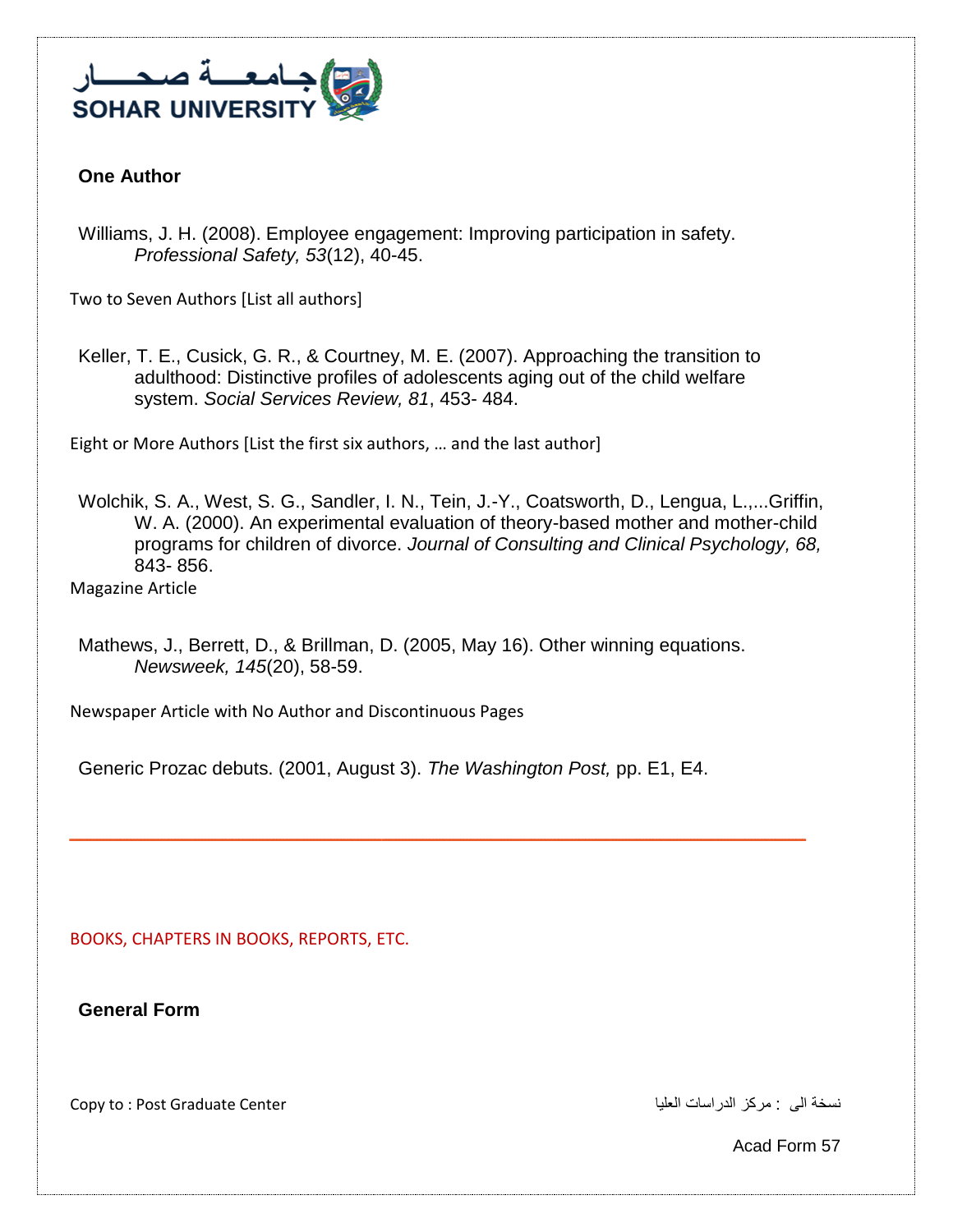

#### **One Author**

Williams, J. H. (2008). Employee engagement: Improving participation in safety. *Professional Safety, 53*(12), 40-45.

Two to Seven Authors [List all authors]

Keller, T. E., Cusick, G. R., & Courtney, M. E. (2007). Approaching the transition to adulthood: Distinctive profiles of adolescents aging out of the child welfare system. *Social Services Review, 81*, 453- 484.

Eight or More Authors [List the first six authors, … and the last author]

Wolchik, S. A., West, S. G., Sandler, I. N., Tein, J.-Y., Coatsworth, D., Lengua, L.,...Griffin, W. A. (2000). An experimental evaluation of theory-based mother and mother-child programs for children of divorce. *Journal of Consulting and Clinical Psychology, 68,*  843- 856.

Magazine Article

Mathews, J., Berrett, D., & Brillman, D. (2005, May 16). Other winning equations. *Newsweek, 145*(20), 58-59.

Newspaper Article with No Author and Discontinuous Pages

Generic Prozac debuts. (2001, August 3). *The Washington Post,* pp. E1, E4.

**ـــــــــــــــــــــــــــــــــــــــــــــــــــــــــــــــــــــــــــــــــــــــــــــــــــــــــــــــــــــــــــــــــــــــــــــــــــــــــــــــــــــــــــــــــــــــــــــــــــــــــــــــــــــــــ**

BOOKS, CHAPTERS IN BOOKS, REPORTS, ETC.

**General Form**

نسخة الى : مركز الدراسات العليا Center Graduate Post : to Copy

Acad Form 57